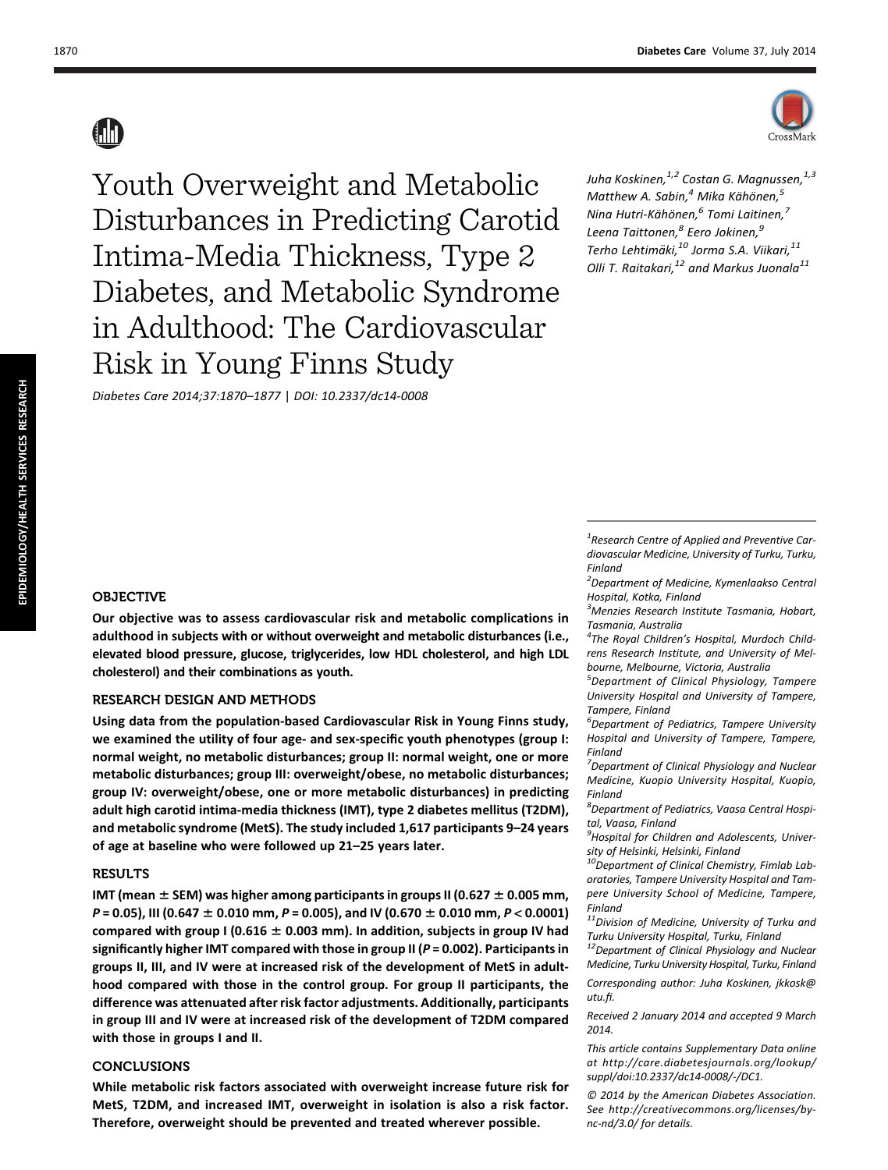

Youth Overweight and Metabolic Disturbances in Predicting Carotid Intima-Media Thickness, Type 2 Diabetes, and Metabolic Syndrome in Adulthood: The Cardiovascular Risk in Young Finns Study

Diabetes Care 2014;37:1870–1877 | DOI: 10.2337/dc14-0008

Juha Koskinen, <sup>1,2</sup> Costan G. Magnussen, <sup>1,3</sup> Matthew A. Sabin, $<sup>4</sup>$  Mika Kähönen, $<sup>5</sup>$ </sup></sup> Nina Hutri-Kähönen, $^6$  Tomi Laitinen, $^7$ Leena Taittonen,<sup>8</sup> Eero Jokinen,<sup>9</sup> Terho Lehtimäki,<sup>10</sup> Jorma S.A. Viikari,<sup>11</sup> Olli T. Raitakari, $^{12}$  and Markus Juonala $^{11}$ 

#### OBJECTIVE

Our objective was to assess cardiovascular risk and metabolic complications in adulthood in subjects with or without overweight and metabolic disturbances (i.e., elevated blood pressure, glucose, triglycerides, low HDL cholesterol, and high LDL cholesterol) and their combinations as youth.

## RESEARCH DESIGN AND METHODS

Using data from the population-based Cardiovascular Risk in Young Finns study, we examined the utility of four age- and sex-specific youth phenotypes (group I: normal weight, no metabolic disturbances; group II: normal weight, one or more metabolic disturbances; group III: overweight/obese, no metabolic disturbances; group IV: overweight/obese, one or more metabolic disturbances) in predicting adult high carotid intima-media thickness (IMT), type 2 diabetes mellitus (T2DM), and metabolic syndrome (MetS). The study included 1,617 participants 9–24 years of age at baseline who were followed up 21–25 years later.

## **RESULTS**

IMT (mean  $\pm$  SEM) was higher among participants in groups II (0.627  $\pm$  0.005 mm,  $P = 0.05$ ), III (0.647  $\pm$  0.010 mm, P = 0.005), and IV (0.670  $\pm$  0.010 mm, P < 0.0001) compared with group I (0.616  $\pm$  0.003 mm). In addition, subjects in group IV had significantly higher IMT compared with those in group II (P = 0.002). Participants in groups II, III, and IV were at increased risk of the development of MetS in adulthood compared with those in the control group. For group II participants, the difference was attenuated after risk factor adjustments. Additionally, participants in group III and IV were at increased risk of the development of T2DM compared with those in groups I and II.

### CONCLUSIONS

While metabolic risk factors associated with overweight increase future risk for MetS, T2DM, and increased IMT, overweight in isolation is also a risk factor. Therefore, overweight should be prevented and treated wherever possible.

 $1$ Research Centre of Applied and Preventive Cardiovascular Medicine, University of Turku, Turku, Finland

<sup>2</sup>Department of Medicine, Kymenlaakso Central Hospital, Kotka, Finland

<sup>3</sup> Menzies Research Institute Tasmania, Hobart, Tasmania, Australia

4 The Royal Children's Hospital, Murdoch Childrens Research Institute, and University of Melbourne, Melbourne, Victoria, Australia

<sup>5</sup>Department of Clinical Physiology, Tampere University Hospital and University of Tampere, Tampere, Finland

<sup>6</sup>Department of Pediatrics, Tampere University Hospital and University of Tampere, Tampere, Finland

<sup>7</sup>Department of Clinical Physiology and Nuclear Medicine, Kuopio University Hospital, Kuopio, Finland

8 Department of Pediatrics, Vaasa Central Hospital, Vaasa, Finland

<sup>9</sup> Hospital for Children and Adolescents, University of Helsinki, Helsinki, Finland

 $10$ Department of Clinical Chemistry, Fimlab Laboratories, Tampere University Hospital and Tampere University School of Medicine, Tampere, Finland

 $11$ Division of Medicine, University of Turku and Turku University Hospital, Turku, Finland

<sup>12</sup>Department of Clinical Physiology and Nuclear Medicine, Turku University Hospital, Turku, Finland

Corresponding author: Juha Koskinen, [jkkosk@](mailto:jkkosk@utu.fi) [utu.](mailto:jkkosk@utu.fi)fi.

Received 2 January 2014 and accepted 9 March 2014.

This article contains Supplementary Data online at [http://care.diabetesjournals.org/lookup/](http://care.diabetesjournals.org/lookup/suppl/doi:10.2337/dc14-0008/-/DC1) [suppl/doi:10.2337/dc14-0008/-/DC1.](http://care.diabetesjournals.org/lookup/suppl/doi:10.2337/dc14-0008/-/DC1)

© 2014 by the American Diabetes Association. See [http://creativecommons.org/licenses/by](http://creativecommons.org/licenses/by-nc-nd/3.0/)[nc-nd/3.0/](http://creativecommons.org/licenses/by-nc-nd/3.0/) for details.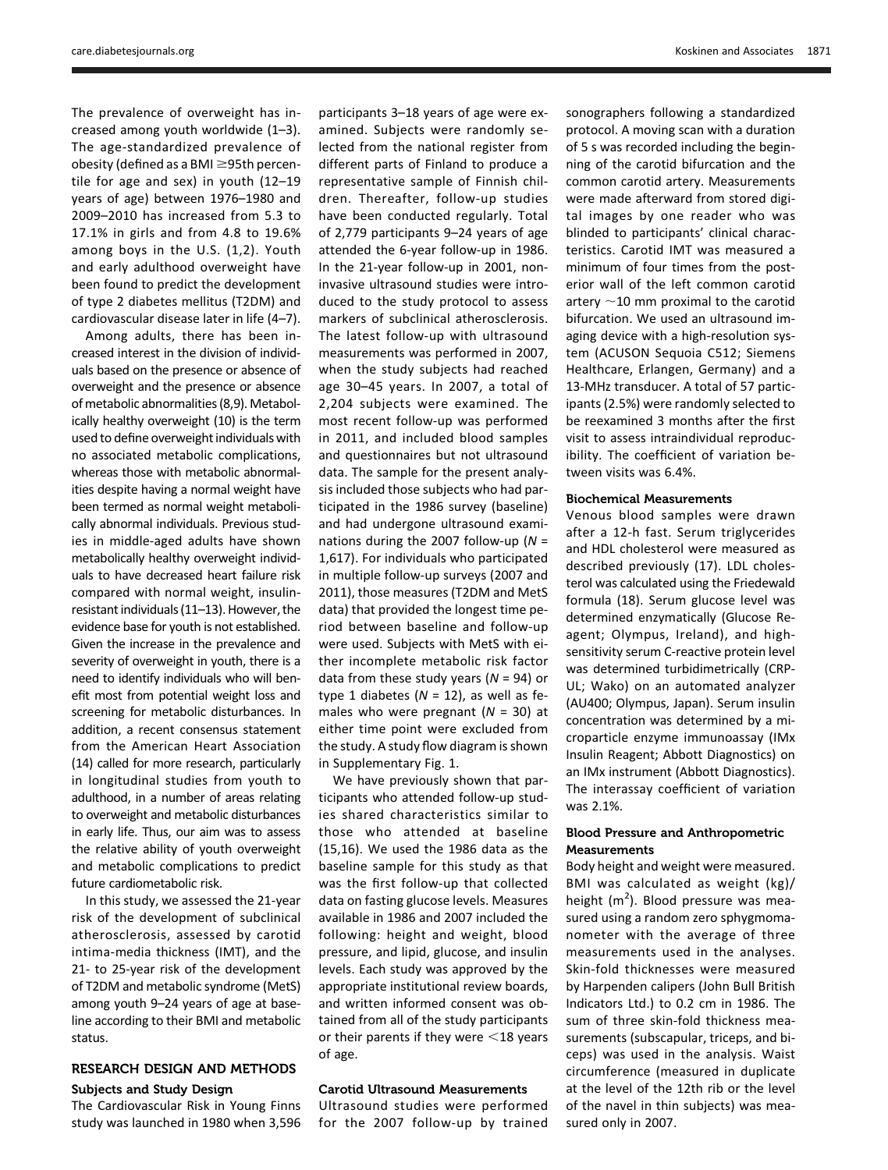The prevalence of overweight has increased among youth worldwide (1–3). The age-standardized prevalence of obesity (defined as a BMI $\geq$ 95th percentile for age and sex) in youth (12–19 years of age) between 1976–1980 and 2009–2010 has increased from 5.3 to 17.1% in girls and from 4.8 to 19.6% among boys in the U.S. (1,2). Youth and early adulthood overweight have been found to predict the development of type 2 diabetes mellitus (T2DM) and cardiovascular disease later in life (4–7).

Among adults, there has been increased interest in the division of individuals based on the presence or absence of overweight and the presence or absence of metabolic abnormalities (8,9). Metabolically healthy overweight (10) is the term used to define overweight individuals with no associated metabolic complications, whereas those with metabolic abnormalities despite having a normal weight have been termed as normal weight metabolically abnormal individuals. Previous studies in middle-aged adults have shown metabolically healthy overweight individuals to have decreased heart failure risk compared with normal weight, insulinresistant individuals (11–13). However, the evidence base for youth is not established. Given the increase in the prevalence and severity of overweight in youth, there is a need to identify individuals who will benefit most from potential weight loss and screening for metabolic disturbances. In addition, a recent consensus statement from the American Heart Association (14) called for more research, particularly in longitudinal studies from youth to adulthood, in a number of areas relating to overweight and metabolic disturbances in early life. Thus, our aim was to assess the relative ability of youth overweight and metabolic complications to predict future cardiometabolic risk.

In this study, we assessed the 21-year risk of the development of subclinical atherosclerosis, assessed by carotid intima-media thickness (IMT), and the 21- to 25-year risk of the development of T2DM and metabolic syndrome (MetS) among youth 9–24 years of age at baseline according to their BMI and metabolic status.

# RESEARCH DESIGN AND METHODS

# Subjects and Study Design

The Cardiovascular Risk in Young Finns study was launched in 1980 when 3,596

participants 3–18 years of age were examined. Subjects were randomly selected from the national register from different parts of Finland to produce a representative sample of Finnish children. Thereafter, follow-up studies have been conducted regularly. Total of 2,779 participants 9–24 years of age attended the 6-year follow-up in 1986. In the 21-year follow-up in 2001, noninvasive ultrasound studies were introduced to the study protocol to assess markers of subclinical atherosclerosis. The latest follow-up with ultrasound measurements was performed in 2007, when the study subjects had reached age 30–45 years. In 2007, a total of 2,204 subjects were examined. The most recent follow-up was performed in 2011, and included blood samples and questionnaires but not ultrasound data. The sample for the present analysis included those subjects who had participated in the 1986 survey (baseline) and had undergone ultrasound examinations during the 2007 follow-up ( $N =$ 1,617). For individuals who participated in multiple follow-up surveys (2007 and 2011), those measures (T2DM and MetS data) that provided the longest time period between baseline and follow-up were used. Subjects with MetS with either incomplete metabolic risk factor data from these study years ( $N = 94$ ) or type 1 diabetes ( $N = 12$ ), as well as females who were pregnant ( $N = 30$ ) at either time point were excluded from the study. A study flow diagram is shown in [Supplementary Fig. 1.](http://care.diabetesjournals.org/lookup/suppl/doi:10.2337/dc14-0008/-/DC1)

We have previously shown that participants who attended follow-up studies shared characteristics similar to those who attended at baseline (15,16). We used the 1986 data as the baseline sample for this study as that was the first follow-up that collected data on fasting glucose levels. Measures available in 1986 and 2007 included the following: height and weight, blood pressure, and lipid, glucose, and insulin levels. Each study was approved by the appropriate institutional review boards, and written informed consent was obtained from all of the study participants or their parents if they were  $\leq$ 18 years of age.

#### Carotid Ultrasound Measurements

Ultrasound studies were performed for the 2007 follow-up by trained sonographers following a standardized protocol. A moving scan with a duration of 5 s was recorded including the beginning of the carotid bifurcation and the common carotid artery. Measurements were made afterward from stored digital images by one reader who was blinded to participants' clinical characteristics. Carotid IMT was measured a minimum of four times from the posterior wall of the left common carotid artery  $\sim$ 10 mm proximal to the carotid bifurcation. We used an ultrasound imaging device with a high-resolution system (ACUSON Sequoia C512; Siemens Healthcare, Erlangen, Germany) and a 13-MHz transducer. A total of 57 participants (2.5%) were randomly selected to be reexamined 3 months after the first visit to assess intraindividual reproducibility. The coefficient of variation between visits was 6.4%.

#### Biochemical Measurements

Venous blood samples were drawn after a 12-h fast. Serum triglycerides and HDL cholesterol were measured as described previously (17). LDL cholesterol was calculated using the Friedewald formula (18). Serum glucose level was determined enzymatically (Glucose Reagent; Olympus, Ireland), and highsensitivity serum C-reactive protein level was determined turbidimetrically (CRP-UL; Wako) on an automated analyzer (AU400; Olympus, Japan). Serum insulin concentration was determined by a microparticle enzyme immunoassay (IMx Insulin Reagent; Abbott Diagnostics) on an IMx instrument (Abbott Diagnostics). The interassay coefficient of variation was 2.1%.

#### Blood Pressure and Anthropometric **Measurements**

Body height and weight were measured. BMI was calculated as weight (kg)/ height  $(m^2)$ . Blood pressure was measured using a random zero sphygmomanometer with the average of three measurements used in the analyses. Skin-fold thicknesses were measured by Harpenden calipers (John Bull British Indicators Ltd.) to 0.2 cm in 1986. The sum of three skin-fold thickness measurements (subscapular, triceps, and biceps) was used in the analysis. Waist circumference (measured in duplicate at the level of the 12th rib or the level of the navel in thin subjects) was measured only in 2007.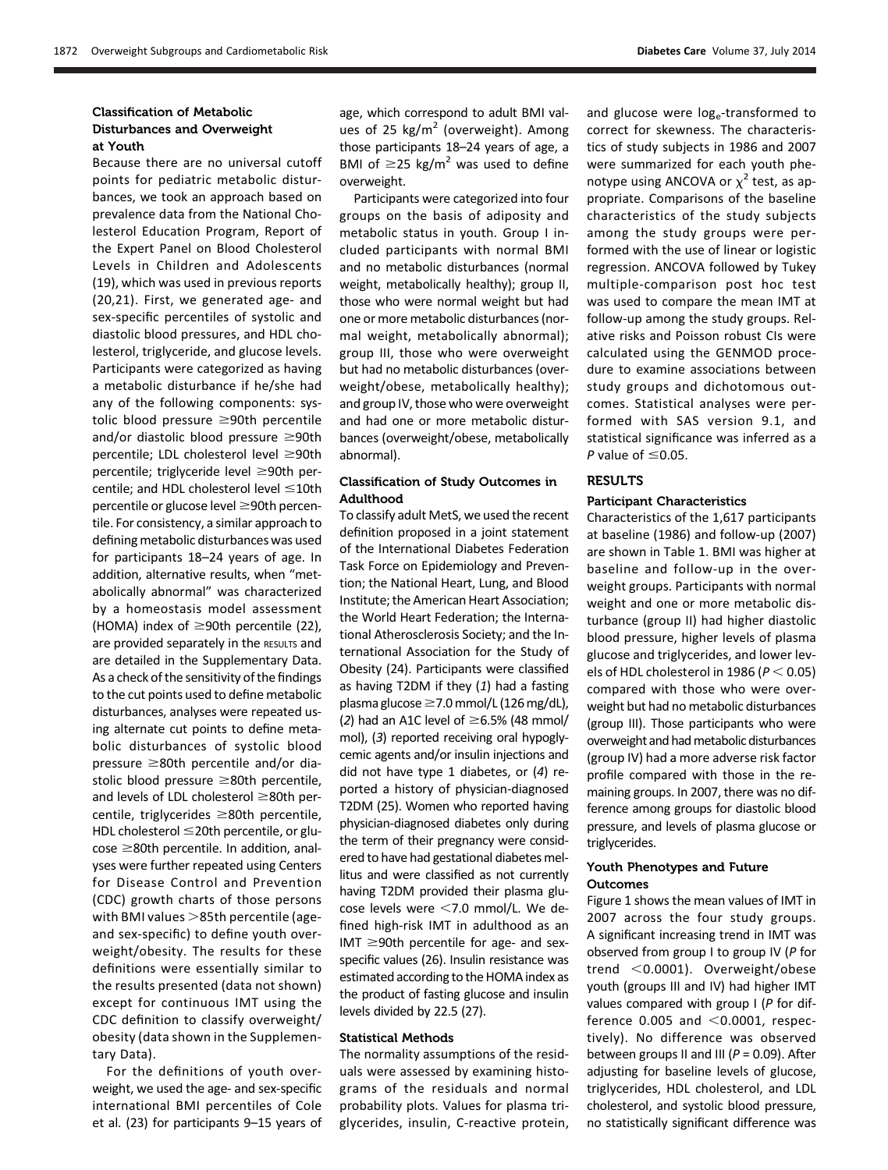#### Classification of Metabolic Disturbances and Overweight at Youth

Because there are no universal cutoff points for pediatric metabolic disturbances, we took an approach based on prevalence data from the National Cholesterol Education Program, Report of the Expert Panel on Blood Cholesterol Levels in Children and Adolescents (19), which was used in previous reports (20,21). First, we generated age- and sex-specific percentiles of systolic and diastolic blood pressures, and HDL cholesterol, triglyceride, and glucose levels. Participants were categorized as having a metabolic disturbance if he/she had any of the following components: systolic blood pressure  $\geq$ 90th percentile and/or diastolic blood pressure  $\geq$ 90th percentile; LDL cholesterol level  $\geq$ 90th percentile; triglyceride level  $\geq$ 90th percentile; and HDL cholesterol level  $\leq 10$ th percentile or glucose level  $\geq$ 90th percentile. For consistency, a similar approach to defining metabolic disturbances was used for participants 18–24 years of age. In addition, alternative results, when "metabolically abnormal" was characterized by a homeostasis model assessment (HOMA) index of  $\geq$ 90th percentile (22), are provided separately in the RESULTS and are detailed in the Supplementary Data. As a check of the sensitivity of the findings to the cut points used to define metabolic disturbances, analyses were repeated using alternate cut points to define metabolic disturbances of systolic blood pressure  $\geq$ 80th percentile and/or diastolic blood pressure  $\geq 80$ th percentile, and levels of LDL cholesterol  $\geq$ 80th percentile, triglycerides  $\geq 80$ th percentile, HDL cholesterol  $\leq$ 20th percentile, or glu- $\cos e \geq 80$ th percentile. In addition, analyses were further repeated using Centers for Disease Control and Prevention (CDC) growth charts of those persons with BMI values  $>$ 85th percentile (ageand sex-specific) to define youth overweight/obesity. The results for these definitions were essentially similar to the results presented (data not shown) except for continuous IMT using the CDC definition to classify overweight/ obesity (data shown in the Supplementary Data).

For the definitions of youth overweight, we used the age- and sex-specific international BMI percentiles of Cole et al. (23) for participants 9–15 years of

age, which correspond to adult BMI values of 25  $\text{kg/m}^2$  (overweight). Among those participants 18–24 years of age, a BMI of  $\geq$ 25 kg/m<sup>2</sup> was used to define overweight.

Participants were categorized into four groups on the basis of adiposity and metabolic status in youth. Group I included participants with normal BMI and no metabolic disturbances (normal weight, metabolically healthy); group II, those who were normal weight but had one or more metabolic disturbances (normal weight, metabolically abnormal); group III, those who were overweight but had no metabolic disturbances (overweight/obese, metabolically healthy); and group IV, those who were overweight and had one or more metabolic disturbances (overweight/obese, metabolically abnormal).

#### Classification of Study Outcomes in Adulthood

To classify adult MetS, we used the recent definition proposed in a joint statement of the International Diabetes Federation Task Force on Epidemiology and Prevention; the National Heart, Lung, and Blood Institute; the American Heart Association; the World Heart Federation; the International Atherosclerosis Society; and the International Association for the Study of Obesity (24). Participants were classified as having T2DM if they  $(1)$  had a fasting plasma glucose ≥7.0 mmol/L (126 mg/dL), (2) had an A1C level of  $\geq$ 6.5% (48 mmol/ mol), (3) reported receiving oral hypoglycemic agents and/or insulin injections and did not have type 1 diabetes, or (4) reported a history of physician-diagnosed T2DM (25). Women who reported having physician-diagnosed diabetes only during the term of their pregnancy were considered to have had gestational diabetes mellitus and were classified as not currently having T2DM provided their plasma glucose levels were  $<$  7.0 mmol/L. We defined high-risk IMT in adulthood as an  $IMT \geq 90$ th percentile for age- and sexspecific values (26). Insulin resistance was estimated according to the HOMA index as the product of fasting glucose and insulin levels divided by 22.5 (27).

#### Statistical Methods

The normality assumptions of the residuals were assessed by examining histograms of the residuals and normal probability plots. Values for plasma triglycerides, insulin, C-reactive protein, and glucose were log<sub>e</sub>-transformed to correct for skewness. The characteristics of study subjects in 1986 and 2007 were summarized for each youth phenotype using ANCOVA or  $\chi^2$  test, as appropriate. Comparisons of the baseline characteristics of the study subjects among the study groups were performed with the use of linear or logistic regression. ANCOVA followed by Tukey multiple-comparison post hoc test was used to compare the mean IMT at follow-up among the study groups. Relative risks and Poisson robust CIs were calculated using the GENMOD procedure to examine associations between study groups and dichotomous outcomes. Statistical analyses were performed with SAS version 9.1, and statistical significance was inferred as a P value of  $\leq 0.05$ .

### **RESULTS**

#### Participant Characteristics

Characteristics of the 1,617 participants at baseline (1986) and follow-up (2007) are shown in Table 1. BMI was higher at baseline and follow-up in the overweight groups. Participants with normal weight and one or more metabolic disturbance (group II) had higher diastolic blood pressure, higher levels of plasma glucose and triglycerides, and lower levels of HDL cholesterol in 1986 ( $P < 0.05$ ) compared with those who were overweight but had no metabolic disturbances (group III). Those participants who were overweight and had metabolic disturbances (group IV) had a more adverse risk factor profile compared with those in the remaining groups. In 2007, there was no difference among groups for diastolic blood pressure, and levels of plasma glucose or triglycerides.

### Youth Phenotypes and Future **Outcomes**

Figure 1 shows the mean values of IMT in 2007 across the four study groups. A significant increasing trend in IMT was observed from group I to group IV (P for trend  $<$  0.0001). Overweight/obese youth (groups III and IV) had higher IMT values compared with group I (P for difference  $0.005$  and  $< 0.0001$ , respectively). No difference was observed between groups II and III ( $P = 0.09$ ). After adjusting for baseline levels of glucose, triglycerides, HDL cholesterol, and LDL cholesterol, and systolic blood pressure, no statistically significant difference was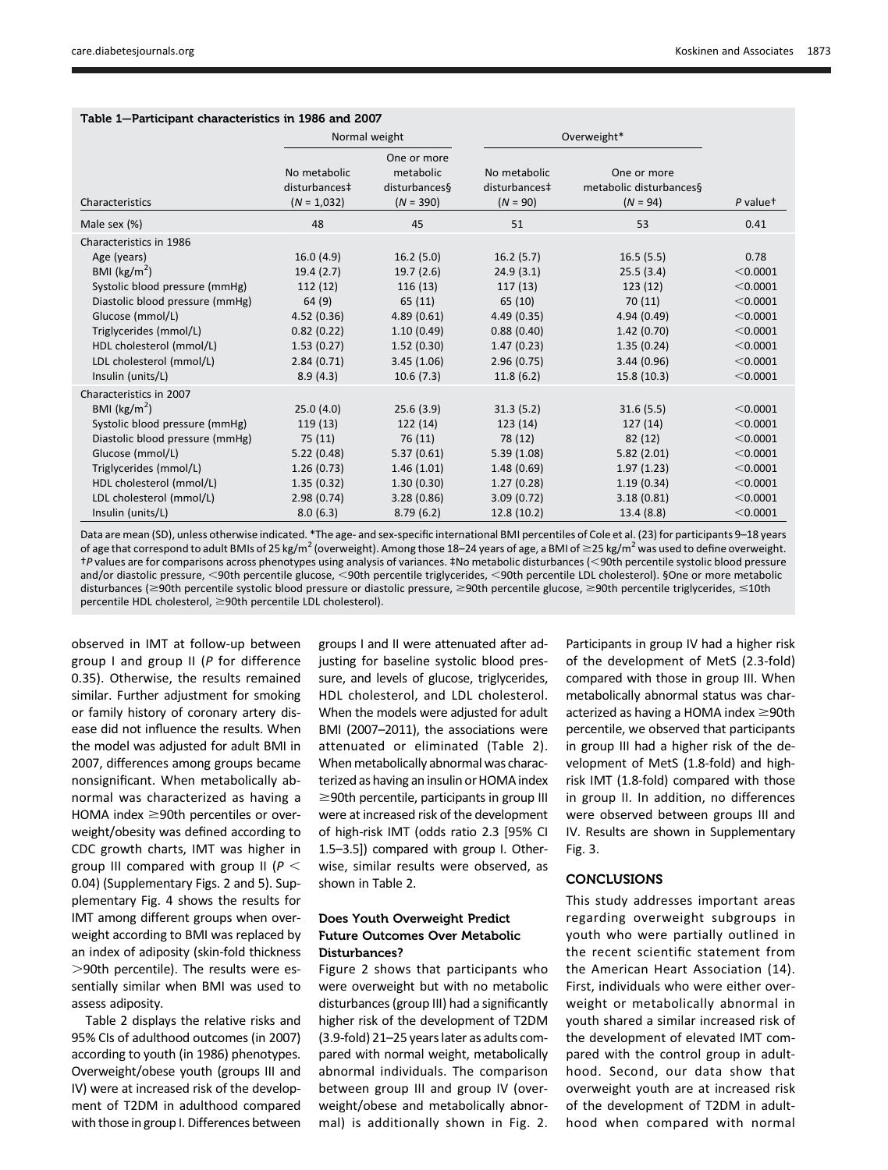| Table 1—Participant characteristics in 1986 and 2007 |                                                |                                                          |                                             |                                                      |                      |  |  |  |  |  |  |
|------------------------------------------------------|------------------------------------------------|----------------------------------------------------------|---------------------------------------------|------------------------------------------------------|----------------------|--|--|--|--|--|--|
|                                                      |                                                | Normal weight                                            | Overweight*                                 |                                                      |                      |  |  |  |  |  |  |
| Characteristics                                      | No metabolic<br>disturbances‡<br>$(N = 1,032)$ | One or more<br>metabolic<br>disturbances§<br>$(N = 390)$ | No metabolic<br>disturbances‡<br>$(N = 90)$ | One or more<br>metabolic disturbances§<br>$(N = 94)$ | P value <sup>+</sup> |  |  |  |  |  |  |
| Male sex (%)                                         | 48                                             | 45                                                       | 51                                          | 53                                                   | 0.41                 |  |  |  |  |  |  |
| Characteristics in 1986                              |                                                |                                                          |                                             |                                                      |                      |  |  |  |  |  |  |
| Age (years)                                          | 16.0(4.9)                                      | 16.2(5.0)                                                | 16.2(5.7)                                   | 16.5(5.5)                                            | 0.78                 |  |  |  |  |  |  |
| BMI ( $\text{kg/m}^2$ )                              | 19.4(2.7)                                      | 19.7(2.6)                                                | 24.9(3.1)                                   | 25.5(3.4)                                            | < 0.0001             |  |  |  |  |  |  |
| Systolic blood pressure (mmHg)                       | 112(12)                                        | 116(13)                                                  | 117(13)                                     | 123(12)                                              | < 0.0001             |  |  |  |  |  |  |
| Diastolic blood pressure (mmHg)                      | 64 (9)                                         | 65 (11)                                                  | 65 (10)                                     | 70(11)                                               | < 0.0001             |  |  |  |  |  |  |
| Glucose (mmol/L)                                     | 4.52(0.36)                                     | 4.89(0.61)                                               | 4.49(0.35)                                  | 4.94 (0.49)                                          | < 0.0001             |  |  |  |  |  |  |
| Triglycerides (mmol/L)                               | 0.82(0.22)                                     | 1.10(0.49)                                               | 0.88(0.40)                                  | 1.42(0.70)                                           | < 0.0001             |  |  |  |  |  |  |
| HDL cholesterol (mmol/L)                             | 1.53(0.27)                                     | 1.52(0.30)                                               | 1.47(0.23)                                  | 1.35(0.24)                                           | < 0.0001             |  |  |  |  |  |  |
| LDL cholesterol (mmol/L)                             | 2.84(0.71)                                     | 3.45(1.06)                                               | 2.96(0.75)                                  | 3.44(0.96)                                           | < 0.0001             |  |  |  |  |  |  |
| Insulin (units/L)                                    | 8.9(4.3)                                       | 10.6(7.3)                                                | 11.8(6.2)                                   | 15.8(10.3)                                           | < 0.0001             |  |  |  |  |  |  |
| Characteristics in 2007                              |                                                |                                                          |                                             |                                                      |                      |  |  |  |  |  |  |
| BMI ( $\text{kg/m}^2$ )                              | 25.0(4.0)                                      | 25.6(3.9)                                                | 31.3(5.2)                                   | 31.6(5.5)                                            | < 0.0001             |  |  |  |  |  |  |
| Systolic blood pressure (mmHg)                       | 119(13)                                        | 122(14)                                                  | 123(14)                                     | 127(14)                                              | < 0.0001             |  |  |  |  |  |  |
| Diastolic blood pressure (mmHg)                      | 75(11)                                         | 76(11)                                                   | 78 (12)                                     | 82(12)                                               | < 0.0001             |  |  |  |  |  |  |
| Glucose (mmol/L)                                     | 5.22(0.48)                                     | 5.37(0.61)                                               | 5.39(1.08)                                  | 5.82(2.01)                                           | < 0.0001             |  |  |  |  |  |  |
| Triglycerides (mmol/L)                               | 1.26(0.73)                                     | 1.46(1.01)                                               | 1.48(0.69)                                  | 1.97(1.23)                                           | < 0.0001             |  |  |  |  |  |  |
| HDL cholesterol (mmol/L)                             | 1.35(0.32)                                     | 1.30(0.30)                                               | 1.27(0.28)                                  | 1.19(0.34)                                           | < 0.0001             |  |  |  |  |  |  |
| LDL cholesterol (mmol/L)                             | 2.98(0.74)                                     | 3.28(0.86)                                               | 3.09(0.72)                                  | 3.18(0.81)                                           | < 0.0001             |  |  |  |  |  |  |
| Insulin (units/L)                                    | 8.0(6.3)                                       | 8.79(6.2)                                                | 12.8 (10.2)                                 | 13.4(8.8)                                            | < 0.0001             |  |  |  |  |  |  |

Table 1—Participant characteristics in 1986 and 2007

Data are mean (SD), unless otherwise indicated. \*The age- and sex-specific international BMI percentiles of Cole et al. (23) for participants 9–18 years of age that correspond to adult BMIs of 25 kg/m<sup>2</sup> (overweight). Among those 18–24 years of age, a BMI of  $\geq$ 25 kg/m<sup>2</sup> was used to define overweight. †P values are for comparisons across phenotypes using analysis of variances. ‡No metabolic disturbances (,90th percentile systolic blood pressure and/or diastolic pressure, <90th percentile glucose, <90th percentile triglycerides, <90th percentile LDL cholesterol). §One or more metabolic disturbances (≥90th percentile systolic blood pressure or diastolic pressure, ≥90th percentile glucose, ≥90th percentile triglycerides, ≤10th  $p$ ercentile HDL cholesterol,  $\geq$ 90th percentile LDL cholesterol).

observed in IMT at follow-up between group I and group II (P for difference 0.35). Otherwise, the results remained similar. Further adjustment for smoking or family history of coronary artery disease did not influence the results. When the model was adjusted for adult BMI in 2007, differences among groups became nonsignificant. When metabolically abnormal was characterized as having a HOMA index  $\geq$ 90th percentiles or overweight/obesity was defined according to CDC growth charts, IMT was higher in group III compared with group II ( $P <$ 0.04) ([Supplementary Figs. 2 and 5](http://care.diabetesjournals.org/lookup/suppl/doi:10.2337/dc14-0008/-/DC1)). [Sup](http://care.diabetesjournals.org/lookup/suppl/doi:10.2337/dc14-0008/-/DC1)[plementary Fig. 4](http://care.diabetesjournals.org/lookup/suppl/doi:10.2337/dc14-0008/-/DC1) shows the results for IMT among different groups when overweight according to BMI was replaced by an index of adiposity (skin-fold thickness  $>$ 90th percentile). The results were essentially similar when BMI was used to assess adiposity.

Table 2 displays the relative risks and 95% CIs of adulthood outcomes (in 2007) according to youth (in 1986) phenotypes. Overweight/obese youth (groups III and IV) were at increased risk of the development of T2DM in adulthood compared with those in group I. Differences between

groups I and II were attenuated after adjusting for baseline systolic blood pressure, and levels of glucose, triglycerides, HDL cholesterol, and LDL cholesterol. When the models were adjusted for adult BMI (2007–2011), the associations were attenuated or eliminated (Table 2). When metabolically abnormal was characterized as having an insulin or HOMA index  $\geq$ 90th percentile, participants in group III were at increased risk of the development of high-risk IMT (odds ratio 2.3 [95% CI 1.5–3.5]) compared with group I. Otherwise, similar results were observed, as shown in Table 2.

#### Does Youth Overweight Predict Future Outcomes Over Metabolic Disturbances?

Figure 2 shows that participants who were overweight but with no metabolic disturbances (group III) had a significantly higher risk of the development of T2DM (3.9-fold) 21–25 years later as adults compared with normal weight, metabolically abnormal individuals. The comparison between group III and group IV (overweight/obese and metabolically abnormal) is additionally shown in Fig. 2. Participants in group IV had a higher risk of the development of MetS (2.3-fold) compared with those in group III. When metabolically abnormal status was characterized as having a HOMA index  $\geq$ 90th percentile, we observed that participants in group III had a higher risk of the development of MetS (1.8-fold) and highrisk IMT (1.8-fold) compared with those in group II. In addition, no differences were observed between groups III and IV. Results are shown in [Supplementary](http://care.diabetesjournals.org/lookup/suppl/doi:10.2337/dc14-0008/-/DC1) [Fig. 3.](http://care.diabetesjournals.org/lookup/suppl/doi:10.2337/dc14-0008/-/DC1)

# **CONCLUSIONS**

This study addresses important areas regarding overweight subgroups in youth who were partially outlined in the recent scientific statement from the American Heart Association (14). First, individuals who were either overweight or metabolically abnormal in youth shared a similar increased risk of the development of elevated IMT compared with the control group in adulthood. Second, our data show that overweight youth are at increased risk of the development of T2DM in adulthood when compared with normal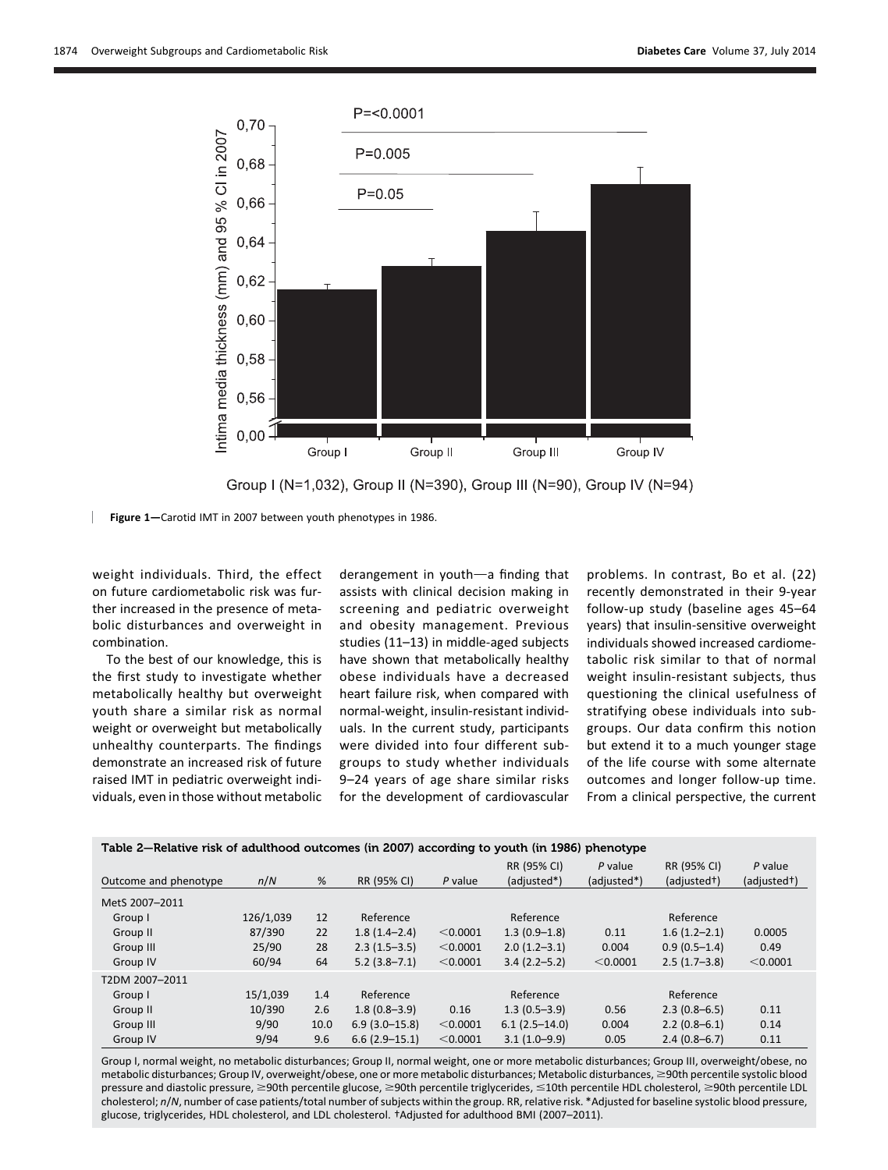



Figure 1—Carotid IMT in 2007 between youth phenotypes in 1986.

weight individuals. Third, the effect on future cardiometabolic risk was further increased in the presence of metabolic disturbances and overweight in combination.

To the best of our knowledge, this is the first study to investigate whether metabolically healthy but overweight youth share a similar risk as normal weight or overweight but metabolically unhealthy counterparts. The findings demonstrate an increased risk of future raised IMT in pediatric overweight individuals, even in those without metabolic

derangement in youth-a finding that assists with clinical decision making in screening and pediatric overweight and obesity management. Previous studies (11–13) in middle-aged subjects have shown that metabolically healthy obese individuals have a decreased heart failure risk, when compared with normal-weight, insulin-resistant individuals. In the current study, participants were divided into four different subgroups to study whether individuals 9–24 years of age share similar risks for the development of cardiovascular problems. In contrast, Bo et al. (22) recently demonstrated in their 9-year follow-up study (baseline ages 45–64 years) that insulin-sensitive overweight individuals showed increased cardiometabolic risk similar to that of normal weight insulin-resistant subjects, thus questioning the clinical usefulness of stratifying obese individuals into subgroups. Our data confirm this notion but extend it to a much younger stage of the life course with some alternate outcomes and longer follow-up time. From a clinical perspective, the current

| Table 2-Relative risk of adulthood outcomes (in 2007) according to youth (in 1986) phenotype |           |      |                  |          |                  |             |                |             |  |  |  |
|----------------------------------------------------------------------------------------------|-----------|------|------------------|----------|------------------|-------------|----------------|-------------|--|--|--|
|                                                                                              |           |      |                  |          | RR (95% CI)      | $P$ value   | RR (95% CI)    | $P$ value   |  |  |  |
| Outcome and phenotype                                                                        | n/N       | %    | RR (95% CI)      | P value  | (adjusted*)      | (adjusted*) | (adjusted+)    | (adjusted+) |  |  |  |
| MetS 2007-2011                                                                               |           |      |                  |          |                  |             |                |             |  |  |  |
| Group I                                                                                      | 126/1.039 | 12   | Reference        |          | Reference        |             | Reference      |             |  |  |  |
| Group II                                                                                     | 87/390    | 22   | $1.8(1.4-2.4)$   | < 0.0001 | $1.3(0.9-1.8)$   | 0.11        | $1.6(1.2-2.1)$ | 0.0005      |  |  |  |
| Group III                                                                                    | 25/90     | 28   | $2.3(1.5-3.5)$   | < 0.0001 | $2.0(1.2-3.1)$   | 0.004       | $0.9(0.5-1.4)$ | 0.49        |  |  |  |
| Group IV                                                                                     | 60/94     | 64   | $5.2(3.8 - 7.1)$ | < 0.0001 | $3.4(2.2 - 5.2)$ | < 0.0001    | $2.5(1.7-3.8)$ | < 0.0001    |  |  |  |
| T2DM 2007-2011                                                                               |           |      |                  |          |                  |             |                |             |  |  |  |
| Group I                                                                                      | 15/1,039  | 1.4  | Reference        |          | Reference        |             | Reference      |             |  |  |  |
| Group II                                                                                     | 10/390    | 2.6  | $1.8(0.8-3.9)$   | 0.16     | $1.3(0.5-3.9)$   | 0.56        | $2.3(0.8-6.5)$ | 0.11        |  |  |  |
| Group III                                                                                    | 9/90      | 10.0 | $6.9(3.0-15.8)$  | < 0.0001 | $6.1(2.5-14.0)$  | 0.004       | $2.2(0.8-6.1)$ | 0.14        |  |  |  |
| Group IV                                                                                     | 9/94      | 9.6  | $6.6(2.9-15.1)$  | < 0.0001 | $3.1(1.0-9.9)$   | 0.05        | $2.4(0.8-6.7)$ | 0.11        |  |  |  |

Group I, normal weight, no metabolic disturbances; Group II, normal weight, one or more metabolic disturbances; Group III, overweight/obese, no metabolic disturbances; Group IV, overweight/obese, one or more metabolic disturbances; Metabolic disturbances, ≥90th percentile systolic blood pressure and diastolic pressure, ≥90th percentile glucose, ≥90th percentile triglycerides, ≤10th percentile HDL cholesterol, ≥90th percentile LDL cholesterol; n/N, number of case patients/total number of subjects within the group. RR, relative risk. \*Adjusted for baseline systolic blood pressure, glucose, triglycerides, HDL cholesterol, and LDL cholesterol. †Adjusted for adulthood BMI (2007–2011).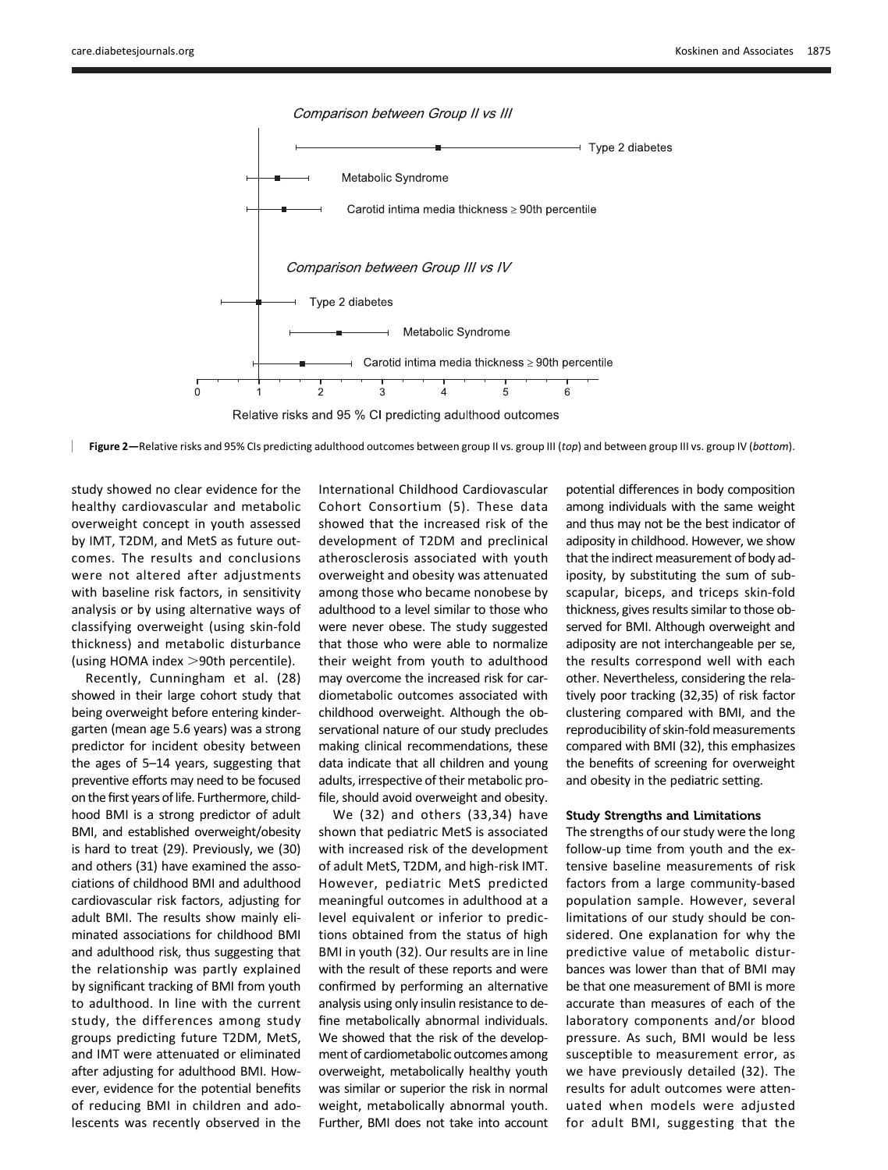

Figure 2—Relative risks and 95% CIs predicting adulthood outcomes between group II vs. group III (top) and between group III vs. group IV (bottom).

study showed no clear evidence for the healthy cardiovascular and metabolic overweight concept in youth assessed by IMT, T2DM, and MetS as future outcomes. The results and conclusions were not altered after adjustments with baseline risk factors, in sensitivity analysis or by using alternative ways of classifying overweight (using skin-fold thickness) and metabolic disturbance (using HOMA index  $>$ 90th percentile).

Recently, Cunningham et al. (28) showed in their large cohort study that being overweight before entering kindergarten (mean age 5.6 years) was a strong predictor for incident obesity between the ages of 5–14 years, suggesting that preventive efforts may need to be focused on the first years of life. Furthermore, childhood BMI is a strong predictor of adult BMI, and established overweight/obesity is hard to treat (29). Previously, we (30) and others (31) have examined the associations of childhood BMI and adulthood cardiovascular risk factors, adjusting for adult BMI. The results show mainly eliminated associations for childhood BMI and adulthood risk, thus suggesting that the relationship was partly explained by significant tracking of BMI from youth to adulthood. In line with the current study, the differences among study groups predicting future T2DM, MetS, and IMT were attenuated or eliminated after adjusting for adulthood BMI. However, evidence for the potential benefits of reducing BMI in children and adolescents was recently observed in the

International Childhood Cardiovascular Cohort Consortium (5). These data showed that the increased risk of the development of T2DM and preclinical atherosclerosis associated with youth overweight and obesity was attenuated among those who became nonobese by adulthood to a level similar to those who were never obese. The study suggested that those who were able to normalize their weight from youth to adulthood may overcome the increased risk for cardiometabolic outcomes associated with childhood overweight. Although the observational nature of our study precludes making clinical recommendations, these data indicate that all children and young adults, irrespective of their metabolic profile, should avoid overweight and obesity.

We (32) and others (33,34) have shown that pediatric MetS is associated with increased risk of the development of adult MetS, T2DM, and high-risk IMT. However, pediatric MetS predicted meaningful outcomes in adulthood at a level equivalent or inferior to predictions obtained from the status of high BMI in youth (32). Our results are in line with the result of these reports and were confirmed by performing an alternative analysis using only insulin resistance to define metabolically abnormal individuals. We showed that the risk of the development of cardiometabolic outcomes among overweight, metabolically healthy youth was similar or superior the risk in normal weight, metabolically abnormal youth. Further, BMI does not take into account potential differences in body composition among individuals with the same weight and thus may not be the best indicator of adiposity in childhood. However, we show that the indirect measurement of body adiposity, by substituting the sum of subscapular, biceps, and triceps skin-fold thickness, gives results similar to those observed for BMI. Although overweight and adiposity are not interchangeable per se, the results correspond well with each other. Nevertheless, considering the relatively poor tracking (32,35) of risk factor clustering compared with BMI, and the reproducibility of skin-fold measurements compared with BMI (32), this emphasizes the benefits of screening for overweight and obesity in the pediatric setting.

#### Study Strengths and Limitations

The strengths of our study were the long follow-up time from youth and the extensive baseline measurements of risk factors from a large community-based population sample. However, several limitations of our study should be considered. One explanation for why the predictive value of metabolic disturbances was lower than that of BMI may be that one measurement of BMI is more accurate than measures of each of the laboratory components and/or blood pressure. As such, BMI would be less susceptible to measurement error, as we have previously detailed (32). The results for adult outcomes were attenuated when models were adjusted for adult BMI, suggesting that the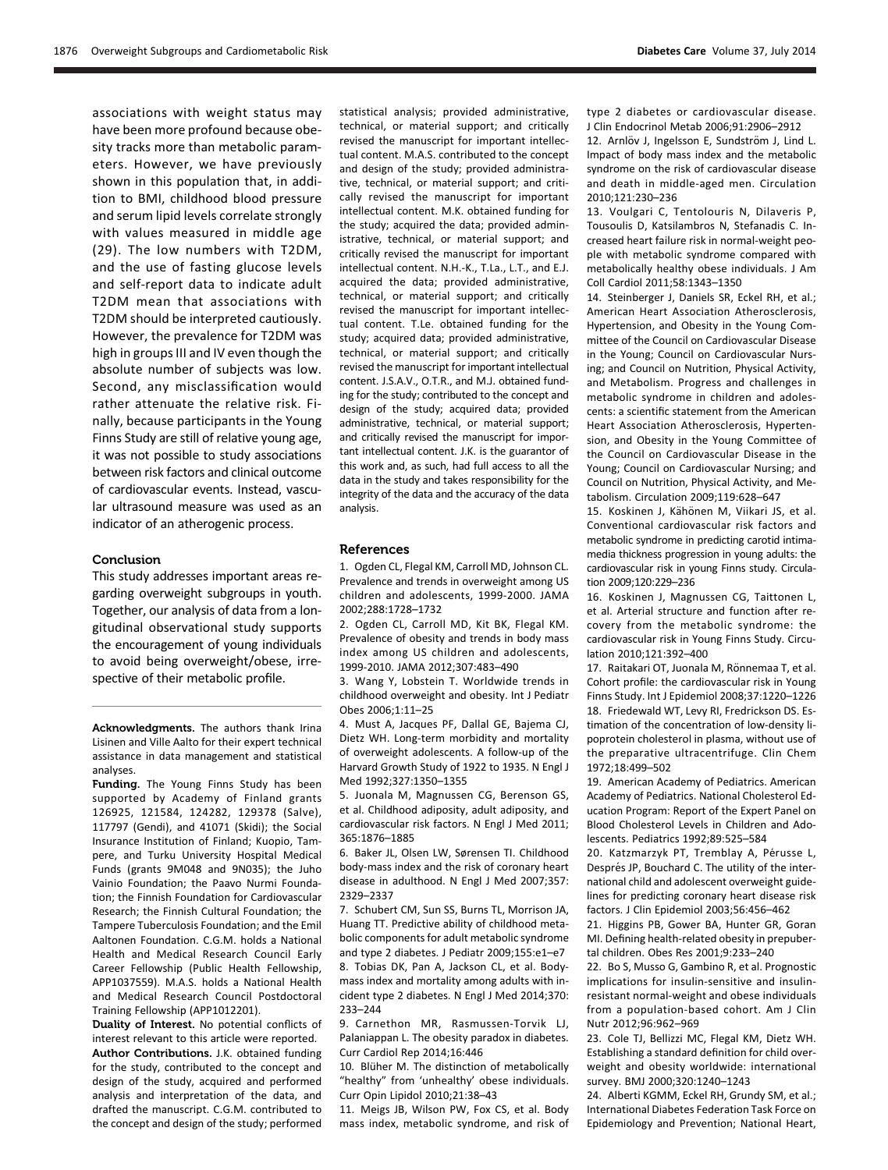associations with weight status may have been more profound because obesity tracks more than metabolic parameters. However, we have previously shown in this population that, in addition to BMI, childhood blood pressure and serum lipid levels correlate strongly with values measured in middle age (29). The low numbers with T2DM, and the use of fasting glucose levels and self-report data to indicate adult T2DM mean that associations with T2DM should be interpreted cautiously. However, the prevalence for T2DM was high in groups III and IV even though the absolute number of subjects was low. Second, any misclassification would rather attenuate the relative risk. Finally, because participants in the Young Finns Study are still of relative young age, it was not possible to study associations between risk factors and clinical outcome of cardiovascular events. Instead, vascular ultrasound measure was used as an indicator of an atherogenic process.

#### **Conclusion**

This study addresses important areas regarding overweight subgroups in youth. Together, our analysis of data from a longitudinal observational study supports the encouragement of young individuals to avoid being overweight/obese, irrespective of their metabolic profile.

Acknowledgments. The authors thank Irina Lisinen and Ville Aalto for their expert technical assistance in data management and statistical analyses.

Funding. The Young Finns Study has been supported by Academy of Finland grants 126925, 121584, 124282, 129378 (Salve), 117797 (Gendi), and 41071 (Skidi); the Social Insurance Institution of Finland; Kuopio, Tampere, and Turku University Hospital Medical Funds (grants 9M048 and 9N035); the Juho Vainio Foundation; the Paavo Nurmi Foundation; the Finnish Foundation for Cardiovascular Research; the Finnish Cultural Foundation; the Tampere Tuberculosis Foundation; and the Emil Aaltonen Foundation. C.G.M. holds a National Health and Medical Research Council Early Career Fellowship (Public Health Fellowship, APP1037559). M.A.S. holds a National Health and Medical Research Council Postdoctoral Training Fellowship (APP1012201).

Duality of Interest. No potential conflicts of interest relevant to this article were reported. Author Contributions. J.K. obtained funding for the study, contributed to the concept and design of the study, acquired and performed analysis and interpretation of the data, and drafted the manuscript. C.G.M. contributed to the concept and design of the study; performed

statistical analysis; provided administrative, technical, or material support; and critically revised the manuscript for important intellectual content. M.A.S. contributed to the concept and design of the study; provided administrative, technical, or material support; and critically revised the manuscript for important intellectual content. M.K. obtained funding for the study; acquired the data; provided administrative, technical, or material support; and critically revised the manuscript for important intellectual content. N.H.-K., T.La., L.T., and E.J. acquired the data; provided administrative, technical, or material support; and critically revised the manuscript for important intellectual content. T.Le. obtained funding for the study; acquired data; provided administrative, technical, or material support; and critically revised the manuscript for important intellectual content. J.S.A.V., O.T.R., and M.J. obtained funding for the study; contributed to the concept and design of the study; acquired data; provided administrative, technical, or material support; and critically revised the manuscript for important intellectual content. J.K. is the guarantor of this work and, as such, had full access to all the data in the study and takes responsibility for the integrity of the data and the accuracy of the data analysis.

#### References

1. Ogden CL, Flegal KM, Carroll MD, Johnson CL. Prevalence and trends in overweight among US children and adolescents, 1999-2000. JAMA 2002;288:1728–1732

2. Ogden CL, Carroll MD, Kit BK, Flegal KM. Prevalence of obesity and trends in body mass index among US children and adolescents, 1999-2010. JAMA 2012;307:483–490

3. Wang Y, Lobstein T. Worldwide trends in childhood overweight and obesity. Int J Pediatr Obes 2006;1:11–25

4. Must A, Jacques PF, Dallal GE, Bajema CJ, Dietz WH. Long-term morbidity and mortality of overweight adolescents. A follow-up of the Harvard Growth Study of 1922 to 1935. N Engl J Med 1992;327:1350–1355

5. Juonala M, Magnussen CG, Berenson GS, et al. Childhood adiposity, adult adiposity, and cardiovascular risk factors. N Engl J Med 2011; 365:1876–1885

6. Baker JL, Olsen LW, Sørensen TI. Childhood body-mass index and the risk of coronary heart disease in adulthood. N Engl J Med 2007;357: 2329–2337

7. Schubert CM, Sun SS, Burns TL, Morrison JA, Huang TT. Predictive ability of childhood metabolic components for adult metabolic syndrome and type 2 diabetes. J Pediatr 2009;155:e1–e7 8. Tobias DK, Pan A, Jackson CL, et al. Bodymass index and mortality among adults with incident type 2 diabetes. N Engl J Med 2014;370: 233–244

9. Carnethon MR, Rasmussen-Torvik LJ, Palaniappan L. The obesity paradox in diabetes. Curr Cardiol Rep 2014;16:446

10. Blüher M. The distinction of metabolically "healthy" from 'unhealthy' obese individuals. Curr Opin Lipidol 2010;21:38–43

11. Meigs JB, Wilson PW, Fox CS, et al. Body mass index, metabolic syndrome, and risk of type 2 diabetes or cardiovascular disease. J Clin Endocrinol Metab 2006;91:2906–2912

12. Arnlöv J, Ingelsson E, Sundström J, Lind L. Impact of body mass index and the metabolic syndrome on the risk of cardiovascular disease and death in middle-aged men. Circulation 2010;121:230–236

13. Voulgari C, Tentolouris N, Dilaveris P, Tousoulis D, Katsilambros N, Stefanadis C. Increased heart failure risk in normal-weight people with metabolic syndrome compared with metabolically healthy obese individuals. J Am Coll Cardiol 2011;58:1343–1350

14. Steinberger J, Daniels SR, Eckel RH, et al.; American Heart Association Atherosclerosis, Hypertension, and Obesity in the Young Committee of the Council on Cardiovascular Disease in the Young; Council on Cardiovascular Nursing; and Council on Nutrition, Physical Activity, and Metabolism. Progress and challenges in metabolic syndrome in children and adolescents: a scientific statement from the American Heart Association Atherosclerosis, Hypertension, and Obesity in the Young Committee of the Council on Cardiovascular Disease in the Young; Council on Cardiovascular Nursing; and Council on Nutrition, Physical Activity, and Metabolism. Circulation 2009;119:628–647

15. Koskinen J, Kähönen M, Viikari JS, et al. Conventional cardiovascular risk factors and metabolic syndrome in predicting carotid intimamedia thickness progression in young adults: the cardiovascular risk in young Finns study. Circulation 2009;120:229–236

16. Koskinen J, Magnussen CG, Taittonen L, et al. Arterial structure and function after recovery from the metabolic syndrome: the cardiovascular risk in Young Finns Study. Circulation 2010;121:392–400

17. Raitakari OT, Juonala M, Rönnemaa T, et al. Cohort profile: the cardiovascular risk in Young Finns Study. Int J Epidemiol 2008;37:1220–1226 18. Friedewald WT, Levy RI, Fredrickson DS. Estimation of the concentration of low-density lipoprotein cholesterol in plasma, without use of the preparative ultracentrifuge. Clin Chem 1972;18:499–502

19. American Academy of Pediatrics. American Academy of Pediatrics. National Cholesterol Education Program: Report of the Expert Panel on Blood Cholesterol Levels in Children and Adolescents. Pediatrics 1992;89:525–584

20. Katzmarzyk PT, Tremblay A, Pérusse L, Després JP, Bouchard C. The utility of the international child and adolescent overweight guidelines for predicting coronary heart disease risk factors. J Clin Epidemiol 2003;56:456–462

21. Higgins PB, Gower BA, Hunter GR, Goran MI. Defining health-related obesity in prepubertal children. Obes Res 2001;9:233–240

22. Bo S, Musso G, Gambino R, et al. Prognostic implications for insulin-sensitive and insulinresistant normal-weight and obese individuals from a population-based cohort. Am J Clin Nutr 2012;96:962–969

23. Cole TJ, Bellizzi MC, Flegal KM, Dietz WH. Establishing a standard definition for child overweight and obesity worldwide: international survey. BMJ 2000;320:1240–1243

24. Alberti KGMM, Eckel RH, Grundy SM, et al.; International Diabetes Federation Task Force on Epidemiology and Prevention; National Heart,